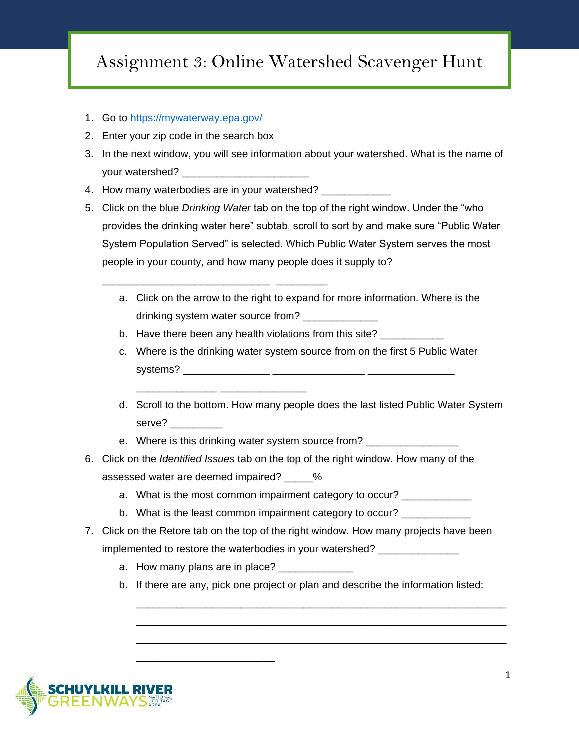## Assignment 3: Online Watershed Scavenger Hunt

- 1. Go to<https://mywaterway.epa.gov/>
- 2. Enter your zip code in the search box
- 3. In the next window, you will see information about your watershed. What is the name of your watershed?
- 4. How many waterbodies are in your watershed?

\_\_\_\_\_\_\_\_\_\_\_\_\_\_\_\_\_\_\_\_\_\_\_\_\_\_\_\_\_ \_\_\_\_\_\_\_\_\_

\_\_\_\_\_\_\_\_\_\_\_\_\_\_ \_\_\_\_\_\_\_\_\_\_\_\_\_\_\_

- 5. Click on the blue *Drinking Water* tab on the top of the right window. Under the "who provides the drinking water here" subtab, scroll to sort by and make sure "Public Water System Population Served" is selected. Which Public Water System serves the most people in your county, and how many people does it supply to?
	- a. Click on the arrow to the right to expand for more information. Where is the drinking system water source from? \_\_\_\_\_\_\_\_\_\_\_
	- b. Have there been any health violations from this site?
	- c. Where is the drinking water system source from on the first 5 Public Water systems? \_\_\_\_\_\_\_\_\_\_\_\_\_\_\_ \_\_\_\_\_\_\_\_\_\_\_\_\_\_\_\_ \_\_\_\_\_\_\_\_\_\_\_\_\_\_\_
	- d. Scroll to the bottom. How many people does the last listed Public Water System serve?
	- e. Where is this drinking water system source from?
- 6. Click on the *Identified Issues* tab on the top of the right window. How many of the assessed water are deemed impaired? \_\_\_\_\_ %
	- a. What is the most common impairment category to occur?
	- b. What is the least common impairment category to occur? \_\_\_\_\_\_\_\_\_\_
- 7. Click on the Retore tab on the top of the right window. How many projects have been implemented to restore the waterbodies in your watershed?
	- a. How many plans are in place?

\_\_\_\_\_\_\_\_\_\_\_\_\_\_\_\_\_\_\_\_\_\_\_\_

b. If there are any, pick one project or plan and describe the information listed:

\_\_\_\_\_\_\_\_\_\_\_\_\_\_\_\_\_\_\_\_\_\_\_\_\_\_\_\_\_\_\_\_\_\_\_\_\_\_\_\_\_\_\_\_\_\_\_\_\_\_\_\_\_\_\_\_\_\_\_\_\_\_\_\_ \_\_\_\_\_\_\_\_\_\_\_\_\_\_\_\_\_\_\_\_\_\_\_\_\_\_\_\_\_\_\_\_\_\_\_\_\_\_\_\_\_\_\_\_\_\_\_\_\_\_\_\_\_\_\_\_\_\_\_\_\_\_\_\_ \_\_\_\_\_\_\_\_\_\_\_\_\_\_\_\_\_\_\_\_\_\_\_\_\_\_\_\_\_\_\_\_\_\_\_\_\_\_\_\_\_\_\_\_\_\_\_\_\_\_\_\_\_\_\_\_\_\_\_\_\_\_\_\_